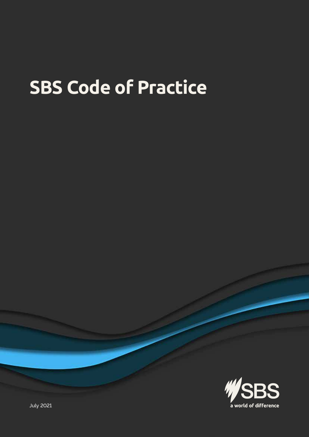# **SBS Code of Practice**



July 2021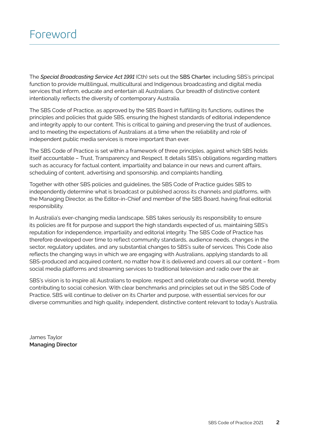The *Special Broadcasting Service Act 1991* (Cth) sets out the SBS Charter, including SBS's principal function to provide multilingual, multicultural and Indigenous broadcasting and digital media services that inform, educate and entertain all Australians. Our breadth of distinctive content intentionally reflects the diversity of contemporary Australia.

The SBS Code of Practice, as approved by the SBS Board in fulfilling its functions, outlines the principles and policies that guide SBS, ensuring the highest standards of editorial independence and integrity apply to our content. This is critical to gaining and preserving the trust of audiences, and to meeting the expectations of Australians at a time when the reliability and role of independent public media services is more important than ever.

The SBS Code of Practice is set within a framework of three principles, against which SBS holds itself accountable – Trust, Transparency and Respect. It details SBS's obligations regarding matters such as accuracy for factual content, impartiality and balance in our news and current affairs, scheduling of content, advertising and sponsorship, and complaints handling.

Together with other SBS policies and guidelines, the SBS Code of Practice guides SBS to independently determine what is broadcast or published across its channels and platforms, with the Managing Director, as the Editor-in-Chief and member of the SBS Board, having final editorial responsibility.

In Australia's ever-changing media landscape, SBS takes seriously its responsibility to ensure its policies are fit for purpose and support the high standards expected of us, maintaining SBS's reputation for independence, impartiality and editorial integrity. The SBS Code of Practice has therefore developed over time to reflect community standards, audience needs, changes in the sector, regulatory updates, and any substantial changes to SBS's suite of services. This Code also reflects the changing ways in which we are engaging with Australians, applying standards to all SBS-produced and acquired content, no matter how it is delivered and covers all our content – from social media platforms and streaming services to traditional television and radio over the air.

SBS's vision is to inspire all Australians to explore, respect and celebrate our diverse world, thereby contributing to social cohesion. With clear benchmarks and principles set out in the SBS Code of Practice, SBS will continue to deliver on its Charter and purpose, with essential services for our diverse communities and high quality, independent, distinctive content relevant to today's Australia.

James Taylor **Managing Director**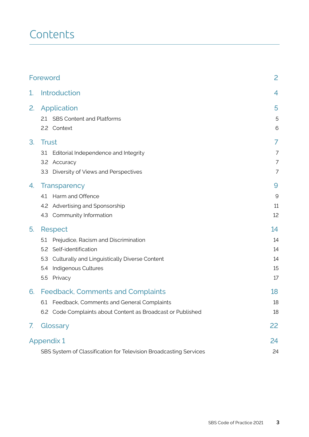## **Contents**

| Foreword |                                                                                                                                                                                                  | 2                                |
|----------|--------------------------------------------------------------------------------------------------------------------------------------------------------------------------------------------------|----------------------------------|
| 1.       | <b>Introduction</b>                                                                                                                                                                              | $\overline{4}$                   |
| 2.       | Application<br>2.1 SBS Content and Platforms<br>2.2 Context                                                                                                                                      | 5<br>5<br>6                      |
| 3.       | <b>Trust</b><br>Editorial Independence and Integrity<br>3.1<br>3.2 Accuracy<br>Diversity of Views and Perspectives<br>3.3                                                                        | 7<br>7<br>7<br>7                 |
| 4.       | <b>Transparency</b><br>Harm and Offence<br>4.1<br>4.2 Advertising and Sponsorship<br>4.3 Community Information                                                                                   | 9<br>9<br>11<br>12               |
| 5.       | <b>Respect</b><br>Prejudice, Racism and Discrimination<br>5.1<br>Self-identification<br>5.2<br>Culturally and Linguistically Diverse Content<br>5.3<br>Indigenous Cultures<br>5.4<br>5.5 Privacy | 14<br>14<br>14<br>14<br>15<br>17 |
| 6.       | <b>Feedback, Comments and Complaints</b><br>6.1<br>Feedback, Comments and General Complaints<br>6.2 Code Complaints about Content as Broadcast or Published                                      | 18<br>18<br>18                   |
| 7.       | Glossary                                                                                                                                                                                         | 22                               |
|          | <b>Appendix 1</b><br>SBS System of Classification for Television Broadcasting Services                                                                                                           | 24<br>24                         |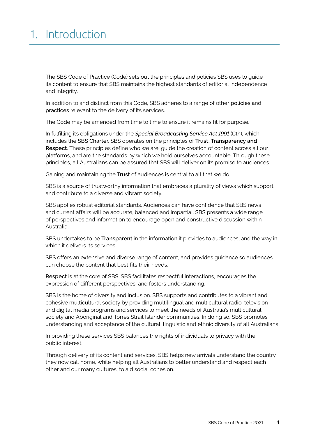## 1. Introduction

The SBS Code of Practice (Code) sets out the principles and policies SBS uses to guide its content to ensure that SBS maintains the highest standards of editorial independence and integrity.

 In addition to and distinct from this Code, SBS adheres to a range of other policies and practices relevant to the delivery of its services.

The Code may be amended from time to time to ensure it remains fit for purpose.

 In fulfilling its obligations under the *Special Broadcasting Service Act 1991* (Cth), which  includes the SBS Charter, SBS operates on the principles of **Trust, Transparency and Respect**. These principles define who we are, guide the creation of content across all our platforms, and are the standards by which we hold ourselves accountable. Through these principles, all Australians can be assured that SBS will deliver on its promise to audiences.

 Gaining and maintaining the **Trust** of audiences is central to all that we do.

SBS is a source of trustworthy information that embraces a plurality of views which support and contribute to a diverse and vibrant society.

SBS applies robust editorial standards. Audiences can have confidence that SBS news and current affairs will be accurate, balanced and impartial. SBS presents a wide range of perspectives and information to encourage open and constructive discussion within Australia.

SBS undertakes to be **Transparent** in the information it provides to audiences, and the way in which it delivers its services.

SBS offers an extensive and diverse range of content, and provides guidance so audiences can choose the content that best fits their needs.

**Respect** is at the core of SBS. SBS facilitates respectful interactions, encourages the expression of different perspectives, and fosters understanding.

SBS is the home of diversity and inclusion. SBS supports and contributes to a vibrant and cohesive multicultural society by providing multilingual and multicultural radio, television and digital media programs and services to meet the needs of Australia's multicultural society and Aboriginal and Torres Strait Islander communities. In doing so, SBS promotes understanding and acceptance of the cultural, linguistic and ethnic diversity of all Australians.

In providing these services SBS balances the rights of individuals to privacy with the public interest.

Through delivery of its content and services, SBS helps new arrivals understand the country they now call home, while helping all Australians to better understand and respect each other and our many cultures, to aid social cohesion.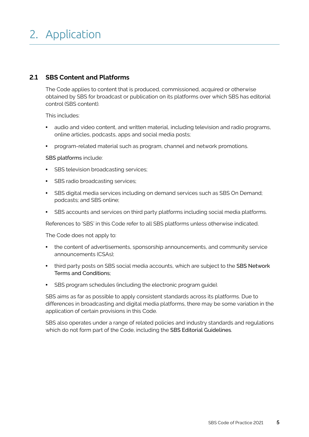# 2. Application

#### **2.1 SBS Content and Platforms**

The Code applies to content that is produced, commissioned, acquired or otherwise obtained by SBS for broadcast or publication on its platforms over which SBS has editorial control (SBS content).

This includes:

- audio and video content, and written material, including television and radio programs, online articles, podcasts, apps and social media posts;
- program-related material such as program, channel and network promotions.

#### SBS platforms include:

- SBS television broadcasting services;
- SBS radio broadcasting services;
- SBS digital media services including on demand services such as SBS On Demand; podcasts; and SBS online;
- SBS accounts and services on third party platforms including social media platforms.

References to 'SBS' in this Code refer to all SBS platforms unless otherwise indicated.

The Code does not apply to:

- the content of advertisements, sponsorship announcements, and community service announcements (CSAs);
- third party posts on SBS social media accounts, which are subject to the SBS Network Terms and Conditions;
- SBS program schedules (including the electronic program guide).

SBS aims as far as possible to apply consistent standards across its platforms. Due to differences in broadcasting and digital media platforms, there may be some variation in the application of certain provisions in this Code.

 which do not form part of the Code, including the SBS Editorial Guidelines. SBS also operates under a range of related policies and industry standards and regulations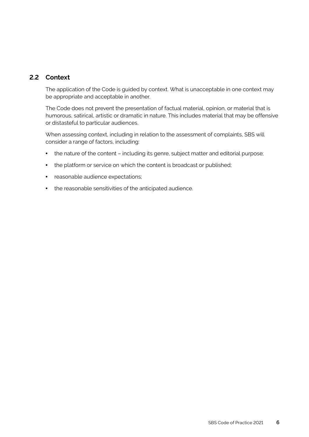#### **2.2 Context**

The application of the Code is guided by context. What is unacceptable in one context may be appropriate and acceptable in another.

The Code does not prevent the presentation of factual material, opinion, or material that is humorous, satirical, artistic or dramatic in nature. This includes material that may be offensive or distasteful to particular audiences.

When assessing context, including in relation to the assessment of complaints, SBS will consider a range of factors, including:

- the nature of the content including its genre, subject matter and editorial purpose;
- the platform or service on which the content is broadcast or published;
- reasonable audience expectations;
- the reasonable sensitivities of the anticipated audience.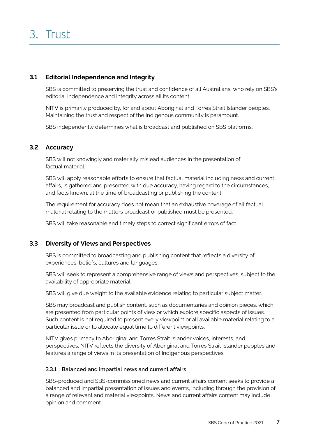#### **3.1 Editorial Independence and Integrity**

SBS is committed to preserving the trust and confidence of all Australians, who rely on SBS's editorial independence and integrity across all its content.

NITV is primarily produced by, for and about Aboriginal and Torres Strait Islander peoples. Maintaining the trust and respect of the Indigenous community is paramount.

SBS independently determines what is broadcast and published on SBS platforms.

#### **3.2 Accuracy**

SBS will not knowingly and materially mislead audiences in the presentation of factual material.

SBS will apply reasonable efforts to ensure that factual material including news and current affairs, is gathered and presented with due accuracy, having regard to the circumstances, and facts known, at the time of broadcasting or publishing the content.

The requirement for accuracy does not mean that an exhaustive coverage of all factual material relating to the matters broadcast or published must be presented.

SBS will take reasonable and timely steps to correct significant errors of fact.

#### **3.3 Diversity of Views and Perspectives**

SBS is committed to broadcasting and publishing content that reflects a diversity of experiences, beliefs, cultures and languages.

 SBS will seek to represent a comprehensive range of views and perspectives, subject to the availability of appropriate material.

 SBS will give due weight to the available evidence relating to particular subject matter.

SBS may broadcast and publish content, such as documentaries and opinion pieces, which are presented from particular points of view or which explore specific aspects of issues. Such content is not required to present every viewpoint or all available material relating to a particular issue or to allocate equal time to different viewpoints.

 NITV gives primacy to Aboriginal and Torres Strait Islander voices, interests, and perspectives. NITV reflects the diversity of Aboriginal and Torres Strait Islander peoples and features a range of views in its presentation of Indigenous perspectives.

#### **3.3.1 Balanced and impartial news and current affairs**

SBS-produced and SBS-commissioned news and current affairs content seeks to provide a balanced and impartial presentation of issues and events, including through the provision of a range of relevant and material viewpoints. News and current affairs content may include opinion and comment.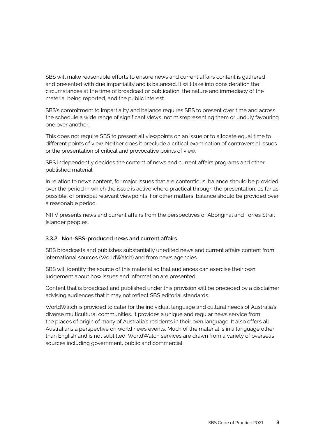SBS will make reasonable efforts to ensure news and current affairs content is gathered and presented with due impartiality and is balanced. It will take into consideration the circumstances at the time of broadcast or publication, the nature and immediacy of the material being reported, and the public interest.

 one over another. SBS's commitment to impartiality and balance requires SBS to present over time and across the schedule a wide range of significant views, not misrepresenting them or unduly favouring

This does not require SBS to present all viewpoints on an issue or to allocate equal time to different points of view. Neither does it preclude a critical examination of controversial issues or the presentation of critical and provocative points of view.

SBS independently decides the content of news and current affairs programs and other published material.

 In relation to news content, for major issues that are contentious, balance should be provided possible, of principal relevant viewpoints. For other matters, balance should be provided over over the period in which the issue is active where practical through the presentation, as far as a reasonable period.

 NITV presents news and current affairs from the perspectives of Aboriginal and Torres Strait Islander peoples.

#### **3.3.2 Non-SBS-produced news and current affairs**

SBS broadcasts and publishes substantially unedited news and current affairs content from international sources (WorldWatch) and from news agencies.

 judgement about how issues and information are presented. SBS will identify the source of this material so that audiences can exercise their own

Content that is broadcast and published under this provision will be preceded by a disclaimer advising audiences that it may not reflect SBS editorial standards.

WorldWatch is provided to cater for the individual language and cultural needs of Australia's diverse multicultural communities. It provides a unique and regular news service from the places of origin of many of Australia's residents in their own language. It also offers all Australians a perspective on world news events. Much of the material is in a language other than English and is not subtitled. WorldWatch services are drawn from a variety of overseas sources including government, public and commercial.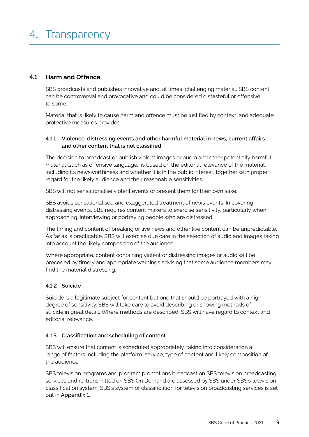#### **4.1 Harm and Offence**

SBS broadcasts and publishes innovative and, at times, challenging material. SBS content can be controversial and provocative and could be considered distasteful or offensive to some.

 Material that is likely to cause harm and offence must be justified by context, and adequate protective measures provided.

#### **4.1.1 Violence, distressing events and other harmful material in news, current affairs and other content that is not classified**

The decision to broadcast or publish violent images or audio and other potentially harmful material (such as offensive language), is based on the editorial relevance of the material, including its newsworthiness and whether it is in the public interest, together with proper regard for the likely audience and their reasonable sensitivities.

SBS will not sensationalise violent events or present them for their own sake.

SBS avoids sensationalised and exaggerated treatment of news events. In covering distressing events. SBS requires content makers to exercise sensitivity, particularly when approaching, interviewing or portraying people who are distressed.

The timing and content of breaking or live news and other live content can be unpredictable. As far as is practicable, SBS will exercise due care in the selection of audio and images taking into account the likely composition of the audience.

Where appropriate, content containing violent or distressing images or audio will be preceded by timely and appropriate warnings advising that some audience members may find the material distressing.

#### **4.1.2 Suicide**

 Suicide is a legitimate subject for content but one that should be portrayed with a high degree of sensitivity. SBS will take care to avoid describing or showing methods of suicide in great detail. Where methods are described, SBS will have regard to context and editorial relevance.

#### **4.1.3 Classification and scheduling of content**

SBS will ensure that content is scheduled appropriately, taking into consideration a range of factors including the platform, service, type of content and likely composition of the audience.

SBS television programs and program promotions broadcast on SBS television broadcasting services and re-transmitted on SBS On Demand are assessed by SBS under SBS's television classification system. SBS's system of classification for television broadcasting services is set out in Appendix 1.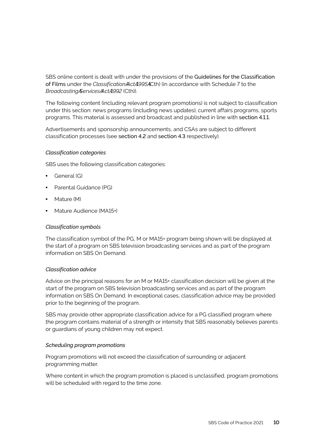SBS online content is dealt with under the provisions of the Guidelines for the Classification of Films under the *ClassificationAActA995ACth*) (in accordance with Schedule 7 to the  *BroadcastingAServicesAActA1992* (Cth)).

 The following content (including relevant program promotions) is not subject to classification under this section: news programs (including news updates), current affairs programs, sports programs. This material is assessed and broadcast and published in line with section 4.1.1.

 Advertisements and sponsorship announcements, and CSAs are subject to different classification processes (see section 4.2 and section 4.3 respectively).

#### *Classification categories*

SBS uses the following classification categories:

- General (G)
- Parental Guidance (PG)
- Mature (M)
- Mature Audience (MA15+)

#### *Classification symbols*

 The classification symbol of the PG, M or MA15+ program being shown will be displayed at the start of a program on SBS television broadcasting services and as part of the program information on SBS On Demand.

#### *Classification advice*

 Advice on the principal reasons for an M or MA15+ classification decision will be given at the start of the program on SBS television broadcasting services and as part of the program information on SBS On Demand. In exceptional cases, classification advice may be provided prior to the beginning of the program.

 SBS may provide other appropriate classification advice for a PG classified program where the program contains material of a strength or intensity that SBS reasonably believes parents or guardians of young children may not expect.

#### *Scheduling program promotions*

 Program promotions will not exceed the classification of surrounding or adjacent programming matter.

Where content in which the program promotion is placed is unclassified, program promotions will be scheduled with regard to the time zone.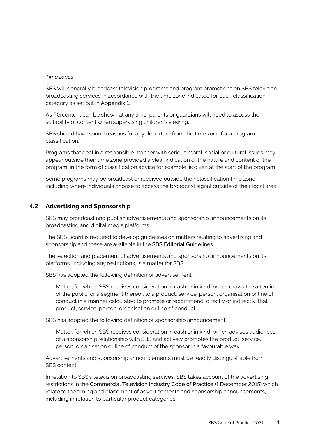#### *Time zones*

SBS will generally broadcast television programs and program promotions on SBS television broadcasting services in accordance with the time zone indicated for each classification category as set out in Appendix 1.

 As PG content can be shown at any time, parents or guardians will need to assess the suitability of content when supervising children's viewing.

SBS should have sound reasons for any departure from the time zone for a program classification.

Programs that deal in a responsible manner with serious moral, social or cultural issues may appear outside their time zone provided a clear indication of the nature and content of the program, in the form of classification advice for example, is given at the start of the program.

Some programs may be broadcast or received outside their classification time zone including where individuals choose to access the broadcast signal outside of their local area.

#### **4.2 Advertising and Sponsorship**

SBS may broadcast and publish advertisements and sponsorship announcements on its broadcasting and digital media platforms.

 sponsorship and these are available in the SBS Editorial Guidelines. The SBS Board is required to develop guidelines on matters relating to advertising and

The selection and placement of advertisements and sponsorship announcements on its platforms, including any restrictions, is a matter for SBS.

SBS has adopted the following definition of advertisement:

Matter, for which SBS receives consideration in cash or in kind, which draws the attention of the public, or a segment thereof, to a product, service, person, organisation or line of conduct in a manner calculated to promote or recommend, directly or indirectly, that product, service, person, organisation or line of conduct.

SBS has adopted the following definition of sponsorship announcement:

Matter, for which SBS receives consideration in cash or in kind, which advises audiences of a sponsorship relationship with SBS and actively promotes the product, service, person, organisation or line of conduct of the sponsor in a favourable way.

Advertisements and sponsorship announcements must be readily distinguishable from SBS content.

 restrictions in the Commercial Television Industry Code of Practice (1 December 2015) which In relation to SBS's television broadcasting services, SBS takes account of the advertising relate to the timing and placement of advertisements and sponsorship announcements, including in relation to particular product categories.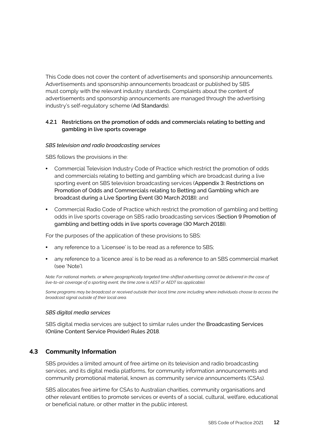This Code does not cover the content of advertisements and sponsorship announcements. Advertisements and sponsorship announcements broadcast or published by SBS must comply with the relevant industry standards. Complaints about the content of advertisements and sponsorship announcements are managed through the advertising industry's self-regulatory scheme (Ad Standards).

#### **4.2.1 Restrictions on the promotion of odds and commercials relating to betting and gambling in live sports coverage**

#### *SBS television and radio broadcasting services*

SBS follows the provisions in the:

- sporting event on SBS television broadcasting services (Appendix 3: Restrictions on Promotion of Odds and Commercials relating to Betting and Gambling which are broadcast during a Live Sporting Event (30 March 2018)); and **•** Commercial Television Industry Code of Practice which restrict the promotion of odds and commercials relating to betting and gambling which are broadcast during a live
- odds in live sports coverage on SBS radio broadcasting services (Section 9 Promotion of gambling and betting odds in live sports coverage (30 March 2018)). **•** Commercial Radio Code of Practice which restrict the promotion of gambling and betting

 For the purposes of the application of these provisions to SBS:

- any reference to a 'Licensee' is to be read as a reference to SBS;
- any reference to a 'licence area' is to be read as a reference to an SBS commercial market (see 'Note').

*Note: For national markets, or where geographically targeted time-shifted advertising cannot be delivered in the case of live-to-air coverage of a sporting event, the time zone is AEST or AEDT (as applicable).* 

*Some programs may be broadcast or received outside their local time zone including where individuals choose to access the broadcast signal outside of their local area.* 

#### *SBS digital media services*

 SBS digital media services are subject to similar rules under the Broadcasting Services (Online Content Service Provider) Rules 2018.

#### **4.3 Community Information**

SBS provides a limited amount of free airtime on its television and radio broadcasting services, and its digital media platforms, for community information announcements and community promotional material, known as community service announcements (CSAs).

SBS allocates free airtime for CSAs to Australian charities, community organisations and other relevant entities to promote services or events of a social, cultural, welfare, educational or beneficial nature, or other matter in the public interest.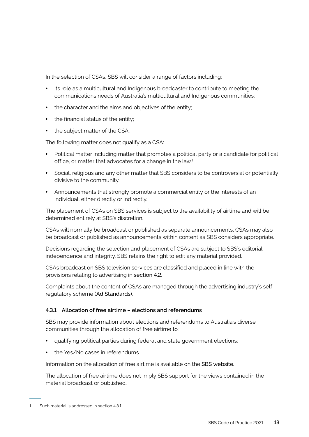In the selection of CSAs, SBS will consider a range of factors including:

- its role as a multicultural and Indigenous broadcaster to contribute to meeting the communications needs of Australia's multicultural and Indigenous communities;
- the character and the aims and objectives of the entity;
- the financial status of the entity;
- the subject matter of the CSA.

The following matter does not qualify as a CSA:

- Political matter including matter that promotes a political party or a candidate for political office, or matter that advocates for a change in the law.<sup>1</sup>
- Social, religious and any other matter that SBS considers to be controversial or potentially divisive to the community.
- Announcements that strongly promote a commercial entity or the interests of an individual, either directly or indirectly.

 The placement of CSAs on SBS services is subject to the availability of airtime and will be determined entirely at SBS's discretion.

CSAs will normally be broadcast or published as separate announcements. CSAs may also be broadcast or published as announcements within content as SBS considers appropriate.

 Decisions regarding the selection and placement of CSAs are subject to SBS's editorial independence and integrity. SBS retains the right to edit any material provided.

CSAs broadcast on SBS television services are classified and placed in line with the provisions relating to advertising in section 4.2.

Complaints about the content of CSAs are managed through the advertising industry's selfregulatory scheme (Ad Standards).

#### **4.3.1 Allocation of free airtime – elections and referendums**

SBS may provide information about elections and referendums to Australia's diverse communities through the allocation of free airtime to:

- qualifying political parties during federal and state government elections;
- the Yes/No cases in referendums.

Information on the allocation of free airtime is available on the SBS website.

The allocation of free airtime does not imply SBS support for the views contained in the material broadcast or published.

---

 1 Such material is addressed in section 4.3.1.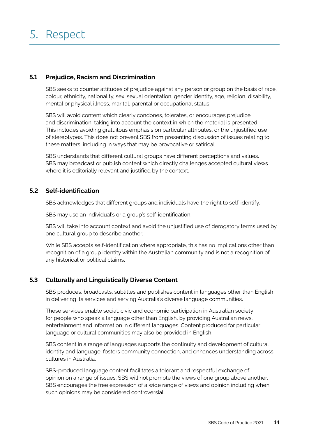#### **5.1 Prejudice, Racism and Discrimination**

 SBS seeks to counter attitudes of prejudice against any person or group on the basis of race, colour, ethnicity, nationality, sex, sexual orientation, gender identity, age, religion, disability, mental or physical illness, marital, parental or occupational status.

 SBS will avoid content which clearly condones, tolerates, or encourages prejudice This includes avoiding gratuitous emphasis on particular attributes, or the unjustified use of stereotypes. This does not prevent SBS from presenting discussion of issues relating to these matters, including in ways that may be provocative or satirical. and discrimination, taking into account the context in which the material is presented.

 SBS may broadcast or publish content which directly challenges accepted cultural views where it is editorially relevant and justified by the context. SBS understands that different cultural groups have different perceptions and values.

#### **5.2 Self-identification**

SBS acknowledges that different groups and individuals have the right to self-identify.

SBS may use an individual's or a group's self-identification.

 SBS will take into account context and avoid the unjustified use of derogatory terms used by one cultural group to describe another.

While SBS accepts self-identification where appropriate, this has no implications other than recognition of a group identity within the Australian community and is not a recognition of any historical or political claims.

#### **5.3 Culturally and Linguistically Diverse Content**

 in delivering its services and serving Australia's diverse language communities. SBS produces, broadcasts, subtitles and publishes content in languages other than English

These services enable social, civic and economic participation in Australian society for people who speak a language other than English, by providing Australian news, entertainment and information in different languages. Content produced for particular language or cultural communities may also be provided in English.

SBS content in a range of languages supports the continuity and development of cultural identity and language, fosters community connection, and enhances understanding across cultures in Australia.

 SBS encourages the free expression of a wide range of views and opinion including when SBS-produced language content facilitates a tolerant and respectful exchange of opinion on a range of issues. SBS will not promote the views of one group above another. such opinions may be considered controversial.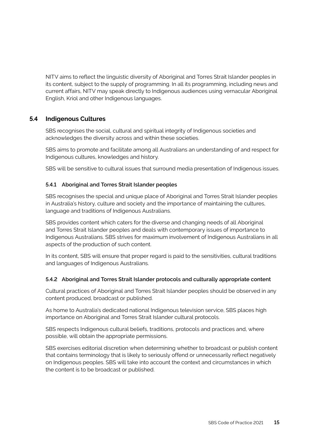NITV aims to reflect the linguistic diversity of Aboriginal and Torres Strait Islander peoples in its content, subject to the supply of programming. In all its programming, including news and current affairs, NITV may speak directly to Indigenous audiences using vernacular Aboriginal English, Kriol and other Indigenous languages.

#### **5.4 Indigenous Cultures**

SBS recognises the social, cultural and spiritual integrity of Indigenous societies and acknowledges the diversity across and within these societies.

SBS aims to promote and facilitate among all Australians an understanding of and respect for Indigenous cultures, knowledges and history.

SBS will be sensitive to cultural issues that surround media presentation of Indigenous issues.

#### **5.4.1 Aboriginal and Torres Strait Islander peoples**

SBS recognises the special and unique place of Aboriginal and Torres Strait Islander peoples in Australia's history, culture and society and the importance of maintaining the cultures, language and traditions of Indigenous Australians.

SBS provides content which caters for the diverse and changing needs of all Aboriginal and Torres Strait Islander peoples and deals with contemporary issues of importance to Indigenous Australians. SBS strives for maximum involvement of Indigenous Australians in all aspects of the production of such content.

In its content, SBS will ensure that proper regard is paid to the sensitivities, cultural traditions and languages of Indigenous Australians.

#### **5.4.2 Aboriginal and Torres Strait Islander protocols and culturally appropriate content**

Cultural practices of Aboriginal and Torres Strait Islander peoples should be observed in any content produced, broadcast or published.

As home to Australia's dedicated national Indigenous television service, SBS places high importance on Aboriginal and Torres Strait Islander cultural protocols.

SBS respects Indigenous cultural beliefs, traditions, protocols and practices and, where possible, will obtain the appropriate permissions.

SBS exercises editorial discretion when determining whether to broadcast or publish content that contains terminology that is likely to seriously offend or unnecessarily reflect negatively on Indigenous peoples. SBS will take into account the context and circumstances in which the content is to be broadcast or published.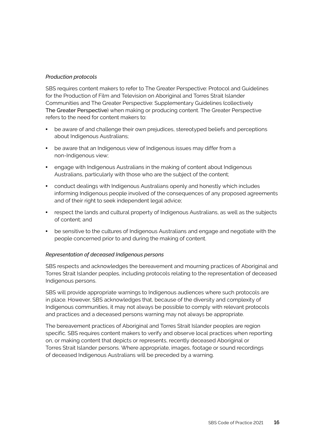#### *Production protocols*

 SBS requires content makers to refer to The Greater Perspective: Protocol and Guidelines for the Production of Film and Television on Aboriginal and Torres Strait Islander Communities and The Greater Perspective: Supplementary Guidelines (collectively The Greater Perspective) when making or producing content. The Greater Perspective refers to the need for content makers to:

- be aware of and challenge their own prejudices, stereotyped beliefs and perceptions about Indigenous Australians;
- non-Indigenous view; **•** be aware that an Indigenous view of Indigenous issues may differ from a
- Australians, particularly with those who are the subject of the content; **•** engage with Indigenous Australians in the making of content about Indigenous
- conduct dealings with Indigenous Australians openly and honestly which includes informing Indigenous people involved of the consequences of any proposed agreements and of their right to seek independent legal advice;
- respect the lands and cultural property of Indigenous Australians, as well as the subjects of content; and
- be sensitive to the cultures of Indigenous Australians and engage and negotiate with the people concerned prior to and during the making of content.

#### *Representation of deceased Indigenous persons*

SBS respects and acknowledges the bereavement and mourning practices of Aboriginal and Torres Strait Islander peoples, including protocols relating to the representation of deceased Indigenous persons.

 in place. However, SBS acknowledges that, because of the diversity and complexity of SBS will provide appropriate warnings to Indigenous audiences where such protocols are Indigenous communities, it may not always be possible to comply with relevant protocols and practices and a deceased persons warning may not always be appropriate.

 Torres Strait Islander persons. Where appropriate, images, footage or sound recordings of deceased Indigenous Australians will be preceded by a warning.The bereavement practices of Aboriginal and Torres Strait Islander peoples are region specific. SBS requires content makers to verify and observe local practices when reporting on, or making content that depicts or represents, recently deceased Aboriginal or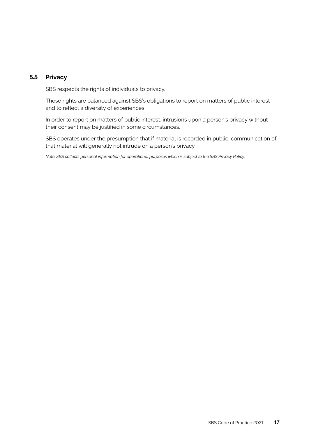#### **5.5 Privacy**

SBS respects the rights of individuals to privacy.

These rights are balanced against SBS's obligations to report on matters of public interest and to reflect a diversity of experiences.

 their consent may be justified in some circumstances. In order to report on matters of public interest, intrusions upon a person's privacy without

SBS operates under the presumption that if material is recorded in public, communication of that material will generally not intrude on a person's privacy.

*Note: SBS collects personal information for operational purposes which is subject to the SBS Privacy Policy.*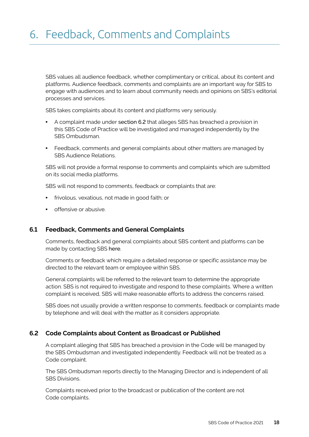SBS values all audience feedback, whether complimentary or critical, about its content and platforms. Audience feedback, comments and complaints are an important way for SBS to engage with audiences and to learn about community needs and opinions on SBS's editorial processes and services.

SBS takes complaints about its content and platforms very seriously.

- A complaint made under section 6.2 that alleges SBS has breached a provision in this SBS Code of Practice will be investigated and managed independently by the SBS Ombudsman.
- Feedback, comments and general complaints about other matters are managed by SBS Audience Relations.

 on its social media platforms. SBS will not provide a formal response to comments and complaints which are submitted

SBS will not respond to comments, feedback or complaints that are:

- frivolous, vexatious, not made in good faith; or
- offensive or abusive.

#### **6.1 Feedback, Comments and General Complaints**

Comments, feedback and general complaints about SBS content and platforms can be made by contacting SBS here.

Comments or feedback which require a detailed response or specific assistance may be directed to the relevant team or employee within SBS.

 General complaints will be referred to the relevant team to determine the appropriate action. SBS is not required to investigate and respond to these complaints. Where a written complaint is received, SBS will make reasonable efforts to address the concerns raised.

SBS does not usually provide a written response to comments, feedback or complaints made by telephone and will deal with the matter as it considers appropriate.

#### **6.2 Code Complaints about Content as Broadcast or Published**

 the SBS Ombudsman and investigated independently. Feedback will not be treated as a A complaint alleging that SBS has breached a provision in the Code will be managed by Code complaint.

 SBS Divisions. The SBS Ombudsman reports directly to the Managing Director and is independent of all

Complaints received prior to the broadcast or publication of the content are not Code complaints.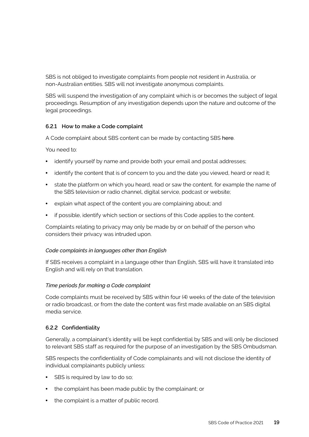SBS is not obliged to investigate complaints from people not resident in Australia, or non-Australian entities. SBS will not investigate anonymous complaints.

 SBS will suspend the investigation of any complaint which is or becomes the subject of legal proceedings. Resumption of any investigation depends upon the nature and outcome of the legal proceedings.

#### **6.2.1 How to make a Code complaint**

A Code complaint about SBS content can be made by contacting SBS here.

You need to:

- identify yourself by name and provide both your email and postal addresses;
- identify the content that is of concern to you and the date you viewed, heard or read it;
- state the platform on which you heard, read or saw the content, for example the name of the SBS television or radio channel, digital service, podcast or website;
- explain what aspect of the content you are complaining about; and
- if possible, identify which section or sections of this Code applies to the content.

Complaints relating to privacy may only be made by or on behalf of the person who considers their privacy was intruded upon.

#### *Code complaints in languages other than English*

If SBS receives a complaint in a language other than English, SBS will have it translated into English and will rely on that translation.

#### *Time periods for making a Code complaint*

 Code complaints must be received by SBS within four (4) weeks of the date of the television or radio broadcast, or from the date the content was first made available on an SBS digital media service.

#### **6.2.2 Confidentiality**

 Generally, a complainant's identity will be kept confidential by SBS and will only be disclosed to relevant SBS staff as required for the purpose of an investigation by the SBS Ombudsman.

SBS respects the confidentiality of Code complainants and will not disclose the identity of individual complainants publicly unless:

- SBS is required by law to do so;
- the complaint has been made public by the complainant; or
- the complaint is a matter of public record.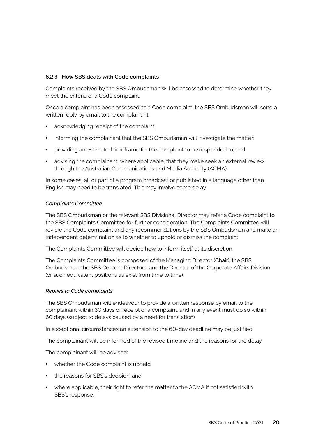#### **6.2.3 How SBS deals with Code complaints**

Complaints received by the SBS Ombudsman will be assessed to determine whether they meet the criteria of a Code complaint.

Once a complaint has been assessed as a Code complaint, the SBS Ombudsman will send a written reply by email to the complainant:

- acknowledging receipt of the complaint;
- informing the complainant that the SBS Ombudsman will investigate the matter;
- providing an estimated timeframe for the complaint to be responded to; and
- advising the complainant, where applicable, that they make seek an external review through the Australian Communications and Media Authority (ACMA)

In some cases, all or part of a program broadcast or published in a language other than English may need to be translated. This may involve some delay.

#### *Complaints Committee*

The SBS Ombudsman or the relevant SBS Divisional Director may refer a Code complaint to the SBS Complaints Committee for further consideration. The Complaints Committee will review the Code complaint and any recommendations by the SBS Ombudsman and make an independent determination as to whether to uphold or dismiss the complaint.

The Complaints Committee will decide how to inform itself at its discretion.

 (or such equivalent positions as exist from time to time). The Complaints Committee is composed of the Managing Director (Chair), the SBS Ombudsman, the SBS Content Directors, and the Director of the Corporate Affairs Division

#### *Replies to Code complaints*

 complainant within 30 days of receipt of a complaint, and in any event must do so within 60 days (subject to delays caused by a need for translation). The SBS Ombudsman will endeavour to provide a written response by email to the

 In exceptional circumstances an extension to the 60-day deadline may be justified.

The complainant will be informed of the revised timeline and the reasons for the delay.

The complainant will be advised:

- whether the Code complaint is upheld;
- the reasons for SBS's decision; and
- where applicable, their right to refer the matter to the ACMA if not satisfied with SBS's response.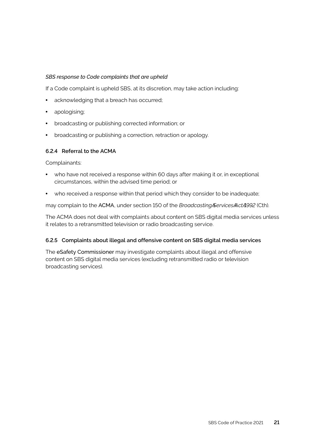#### *SBS response to Code complaints that are upheld*

If a Code complaint is upheld SBS, at its discretion, may take action including:

- acknowledging that a breach has occurred;
- apologising;
- broadcasting or publishing corrected information; or
- broadcasting or publishing a correction, retraction or apology.

#### **6.2.4 Referral to the ACMA**

Complainants:

- who have not received a response within 60 days after making it or, in exceptional circumstances, within the advised time period; or
- who received a response within that period which they consider to be inadequate;

  may complain to the ACMA, under section 150 of the *BroadcastingAServicesAActA1992* (Cth).

The ACMA does not deal with complaints about content on SBS digital media services unless it relates to a retransmitted television or radio broadcasting service.

#### **6.2.5 Complaints about illegal and offensive content on SBS digital media services**

 broadcasting services).The eSafety Commissioner may investigate complaints about illegal and offensive content on SBS digital media services (excluding retransmitted radio or television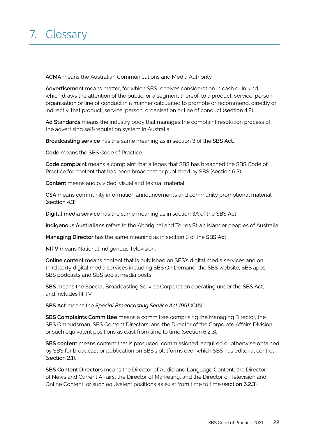# 7. Glossary

**ACMA** means the Australian Communications and Media Authority.

**Advertisement** means matter, for which SBS receives consideration in cash or in kind, which draws the attention of the public, or a segment thereof, to a product, service, person, organisation or line of conduct in a manner calculated to promote or recommend, directly or indirectly, that product, service, person, organisation or line of conduct (section 4.2).

**Ad Standards** means the industry body that manages the complaint resolution process of the advertising self-regulation system in Australia.

 **Broadcasting service** has the same meaning as in section 3 of the SBS Act.

**Code** means the SBS Code of Practice.

 **Code complaint** means a complaint that alleges that SBS has breached the SBS Code of Practice for content that has been broadcast or published by SBS (section 6.2).

**Content** means audio, video, visual and textual material.

**CSA** means community information announcements and community promotional material (section 4.3).

 **Digital media service** has the same meaning as in section 3A of the SBS Act.

**Indigenous Australians** refers to the Aboriginal and Torres Strait Islander peoples of Australia.

 **Managing Director** has the same meaning as in section 3 of the SBS Act.

**NITV** means National Indigenous Television.

 SBS podcasts and SBS social media posts. **Online content** means content that is published on SBS's digital media services and on third party digital media services including SBS On Demand, the SBS website, SBS apps,

**SBS** means the Special Broadcasting Service Corporation operating under the SBS Act, and includes NITV.

 **SBS Act** means the *Special Broadcasting Service Act 1991* (Cth).

 SBS Ombudsman, SBS Content Directors, and the Director of the Corporate Affairs Division, or such equivalent positions as exist from time to time (section 6.2.3). **SBS Complaints Committee** means a committee comprising the Managing Director, the

**SBS content** means content that is produced, commissioned, acquired or otherwise obtained by SBS for broadcast or publication on SBS's platforms over which SBS has editorial control (section 2.1).

**SBS Content Directors** means the Director of Audio and Language Content, the Director Online Content, or such equivalent positions as exist from time to time (section 6.2.3). of News and Current Affairs, the Director of Marketing, and the Director of Television and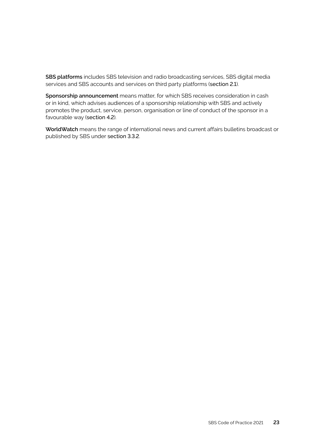**SBS platforms** includes SBS television and radio broadcasting services, SBS digital media services and SBS accounts and services on third party platforms (section 2.1).

**Sponsorship announcement** means matter, for which SBS receives consideration in cash or in kind, which advises audiences of a sponsorship relationship with SBS and actively promotes the product, service, person, organisation or line of conduct of the sponsor in a favourable way (section 4.2).

**WorldWatch** means the range of international news and current affairs bulletins broadcast or published by SBS under section 3.3.2.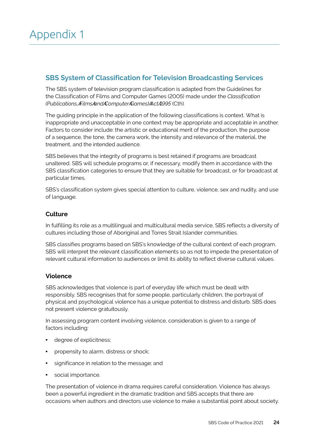### **SBS System of Classification for Television Broadcasting Services**

 The SBS system of television program classification is adapted from the Guidelines for the Classification of Films and Computer Games (2005) made under the *Classification (Publications,AFilmsAandAComputerAGames)AActA1995* (Cth)*.* 

 Factors to consider include: the artistic or educational merit of the production, the purpose The guiding principle in the application of the following classifications is context. What is inappropriate and unacceptable in one context may be appropriate and acceptable in another. of a sequence, the tone, the camera work, the intensity and relevance of the material, the treatment, and the intended audience.

SBS believes that the integrity of programs is best retained if programs are broadcast unaltered. SBS will schedule programs or, if necessary, modify them in accordance with the SBS classification categories to ensure that they are suitable for broadcast, or for broadcast at particular times.

SBS's classification system gives special attention to culture, violence, sex and nudity, and use of language.

#### **Culture**

In fulfilling its role as a multilingual and multicultural media service, SBS reflects a diversity of cultures including those of Aboriginal and Torres Strait Islander communities.

SBS classifies programs based on SBS's knowledge of the cultural context of each program. SBS will interpret the relevant classification elements so as not to impede the presentation of relevant cultural information to audiences or limit its ability to reflect diverse cultural values.

#### **Violence**

SBS acknowledges that violence is part of everyday life which must be dealt with responsibly. SBS recognises that for some people, particularly children, the portrayal of physical and psychological violence has a unique potential to distress and disturb. SBS does not present violence gratuitously.

 factors including: In assessing program content involving violence, consideration is given to a range of

- degree of explicitness;
- propensity to alarm, distress or shock;
- significance in relation to the message; and
- social importance.

 The presentation of violence in drama requires careful consideration. Violence has always been a powerful ingredient in the dramatic tradition and SBS accepts that there are occasions when authors and directors use violence to make a substantial point about society.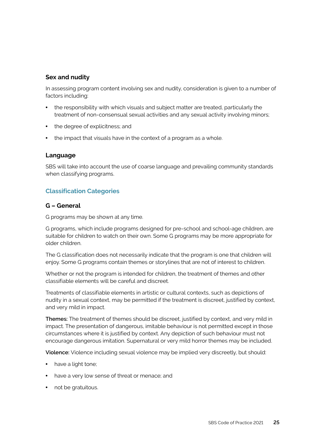#### **Sex and nudity**

In assessing program content involving sex and nudity, consideration is given to a number of factors including:

- the responsibility with which visuals and subject matter are treated, particularly the treatment of non-consensual sexual activities and any sexual activity involving minors;
- the degree of explicitness; and
- the impact that visuals have in the context of a program as a whole.

#### **Language**

SBS will take into account the use of coarse language and prevailing community standards when classifying programs.

#### **Classification Categories**

#### **G – General**

 G programs may be shown at any time.

 G programs, which include programs designed for pre-school and school-age children, are suitable for children to watch on their own. Some G programs may be more appropriate for older children.

 The G classification does not necessarily indicate that the program is one that children will enjoy. Some G programs contain themes or storylines that are not of interest to children.

Whether or not the program is intended for children, the treatment of themes and other classifiable elements will be careful and discreet.

 nudity in a sexual context, may be permitted if the treatment is discreet, justified by context, Treatments of classifiable elements in artistic or cultural contexts, such as depictions of and very mild in impact.

 **Themes:** The treatment of themes should be discreet, justified by context, and very mild in circumstances where it is justified by context. Any depiction of such behaviour must not impact. The presentation of dangerous, imitable behaviour is not permitted except in those encourage dangerous imitation. Supernatural or very mild horror themes may be included.

 **Violence:** Violence including sexual violence may be implied very discreetly, but should:

- have a light tone;
- have a very low sense of threat or menace; and
- not be gratuitous.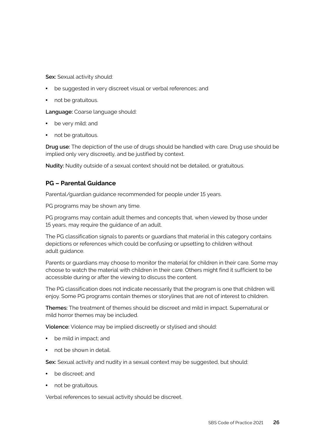**Sex:** Sexual activity should:

- be suggested in very discreet visual or verbal references; and
- not be gratuitous.

**Language:** Coarse language should:

- be very mild; and
- not be gratuitous.

 implied only very discreetly, and be justified by context. **Drug use:** The depiction of the use of drugs should be handled with care. Drug use should be

**Nudity:** Nudity outside of a sexual context should not be detailed, or gratuitous.

#### **PG – Parental Guidance**

 Parental/guardian guidance recommended for people under 15 years.

 PG programs may be shown any time.

 PG programs may contain adult themes and concepts that, when viewed by those under 15 years, may require the guidance of an adult.

 The PG classification signals to parents or guardians that material in this category contains depictions or references which could be confusing or upsetting to children without adult guidance.

Parents or guardians may choose to monitor the material for children in their care. Some may choose to watch the material with children in their care. Others might find it sufficient to be accessible during or after the viewing to discuss the content.

 The PG classification does not indicate necessarily that the program is one that children will enjoy. Some PG programs contain themes or storylines that are not of interest to children.

 mild horror themes may be included. **Themes:** The treatment of themes should be discreet and mild in impact. Supernatural or

 **Violence:** Violence may be implied discreetly or stylised and should:

- be mild in impact; and
- not be shown in detail.

**Sex:** Sexual activity and nudity in a sexual context may be suggested, but should:

- be discreet; and
- not be gratuitous.

 Verbal references to sexual activity should be discreet.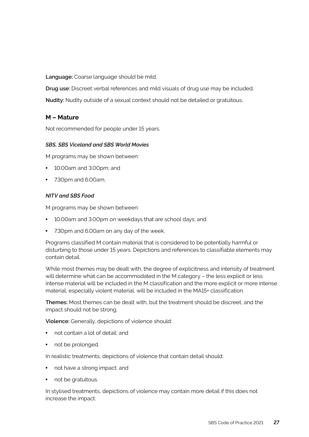**Language:** Coarse language should be mild.

**Drug use:** Discreet verbal references and mild visuals of drug use may be included.

**Nudity:** Nudity outside of a sexual context should not be detailed or gratuitous.

#### **M – Mature**

 Not recommended for people under 15 years.

#### *SBS, SBS Viceland and SBS World Movies*

M programs may be shown between:

- 10.00am and 3.00pm; and
- 7.30pm and 6.00am.

#### *NITV and SBS Food*

M programs may be shown between:

- 10.00am and 3.00pm on weekdays that are school days; and
- 7.30pm and 6.00am on any day of the week.

 disturbing to those under 15 years. Depictions and references to classifiable elements may Programs classified M contain material that is considered to be potentially harmful or contain detail.

 material, especially violent material, will be included in the MA15+ classification. While most themes may be dealt with, the degree of explicitness and intensity of treatment will determine what can be accommodated in the M category – the less explicit or less intense material will be included in the M classification and the more explicit or more intense

**Themes:** Most themes can be dealt with, but the treatment should be discreet, and the impact should not be strong.

 **Violence:** Generally, depictions of violence should:

- not contain a lot of detail; and
- not be prolonged.

In realistic treatments, depictions of violence that contain detail should:

- not have a strong impact; and
- not be gratuitous.

In stylised treatments, depictions of violence may contain more detail if this does not increase the impact.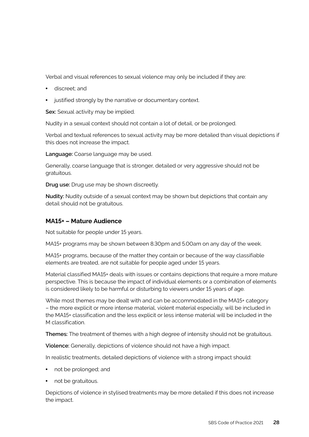Verbal and visual references to sexual violence may only be included if they are:

- discreet; and
- justified strongly by the narrative or documentary context.

**Sex:** Sexual activity may be implied.

Nudity in a sexual context should not contain a lot of detail, or be prolonged.

 Verbal and textual references to sexual activity may be more detailed than visual depictions if this does not increase the impact.

**Language:** Coarse language may be used.

 Generally, coarse language that is stronger, detailed or very aggressive should not be gratuitous.

**Drug use:** Drug use may be shown discreetly.

**Nudity:** Nudity outside of a sexual context may be shown but depictions that contain any detail should not be gratuitous.

#### **MA15+ – Mature Audience**

 Not suitable for people under 15 years.

 MA15+ programs may be shown between 8.30pm and 5.00am on any day of the week.

 MA15+ programs, because of the matter they contain or because of the way classifiable elements are treated, are not suitable for people aged under 15 years.

 Material classified MA15+ deals with issues or contains depictions that require a more mature is considered likely to be harmful or disturbing to viewers under 15 years of age. perspective. This is because the impact of individual elements or a combination of elements

 While most themes may be dealt with and can be accommodated in the MA15+ category the MA15+ classification and the less explicit or less intense material will be included in the – the more explicit or more intense material, violent material especially, will be included in M classification.

**Themes:** The treatment of themes with a high degree of intensity should not be gratuitous.

 **Violence:** Generally, depictions of violence should not have a high impact.

In realistic treatments, detailed depictions of violence with a strong impact should:

- not be prolonged; and
- not be gratuitous.

Depictions of violence in stylised treatments may be more detailed if this does not increase the impact.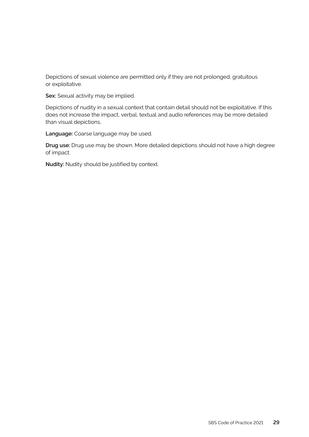Depictions of sexual violence are permitted only if they are not prolonged, gratuitous or exploitative.

**Sex:** Sexual activity may be implied.

Depictions of nudity in a sexual context that contain detail should not be exploitative. If this does not increase the impact, verbal, textual and audio references may be more detailed than visual depictions,

**Language:** Coarse language may be used.

**Drug use:** Drug use may be shown. More detailed depictions should not have a high degree of impact.

 **Nudity:** Nudity should be justified by context.